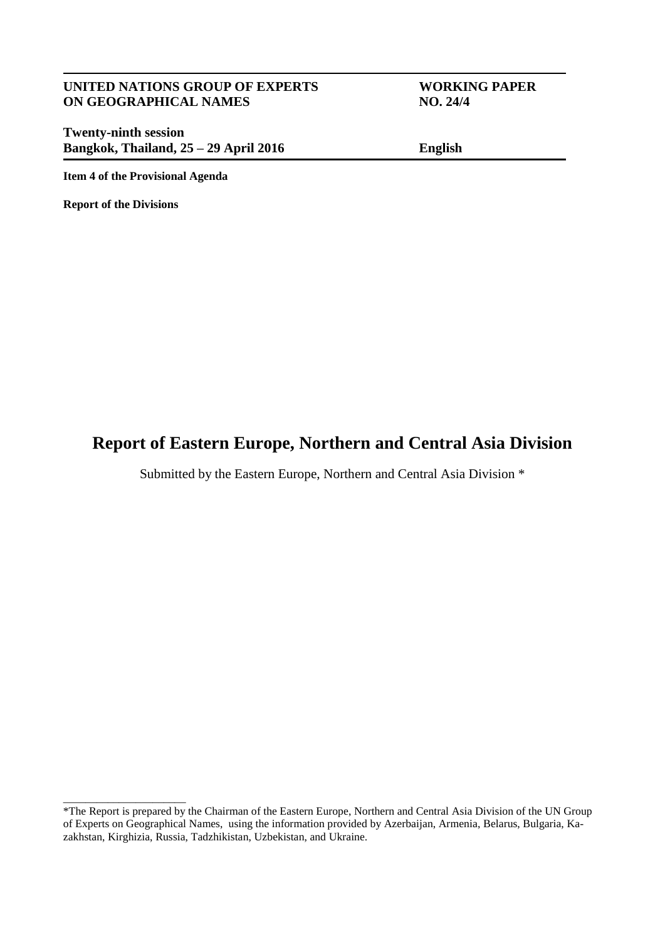#### **UNITED NATIONS GROUP OF EXPERTS WORKING PAPER ON GEOGRAPHICAL NAMES NO. 24/4**

**Twenty-ninth session Bangkok, Thailand, 25 – 29 April 2016 English**

**Item 4 of the Provisional Agenda**

**Report of the Divisions**

\_\_\_\_\_\_\_\_\_\_\_\_\_\_\_\_\_\_\_\_\_\_

# **Report of Eastern Europe, Northern and Central Asia Division**

Submitted by the Eastern Europe, Northern and Central Asia Division \*

<sup>&</sup>lt;sup>\*</sup>The Report is prepared by the Chairman of the Eastern Europe, Northern and Central Asia Division of the UN Group of Experts on Geographical Names, using the information provided by Azerbaijan, Armenia, Belarus, Bulgaria, Kazakhstan, Kirghizia, Russia, Tadzhikistan, Uzbekistan, and Ukraine.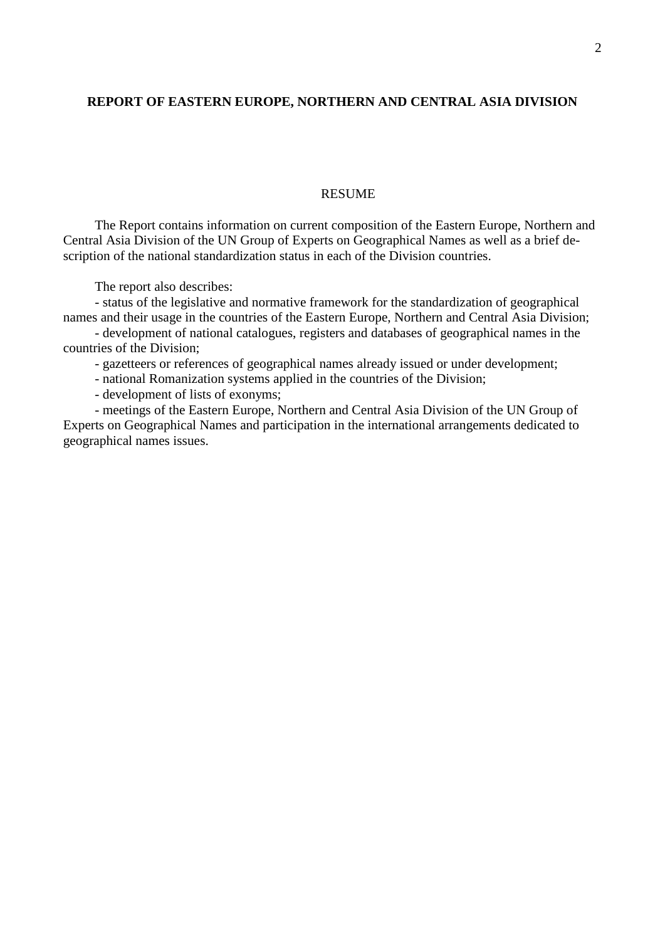#### **REPORT OF EASTERN EUROPE, NORTHERN AND CENTRAL ASIA DIVISION**

#### RESUME

The Report contains information on current composition of the Eastern Europe, Northern and Central Asia Division of the UN Group of Experts on Geographical Names as well as a brief description of the national standardization status in each of the Division countries.

The report also describes:

- status of the legislative and normative framework for the standardization of geographical names and their usage in the countries of the Eastern Europe, Northern and Central Asia Division;

- development of national catalogues, registers and databases of geographical names in the countries of the Division;

- gazetteers or references of geographical names already issued or under development;

- national Romanization systems applied in the countries of the Division;

- development of lists of exonyms;

- meetings of the Eastern Europe, Northern and Central Asia Division of the UN Group of Experts on Geographical Names and participation in the international arrangements dedicated to geographical names issues.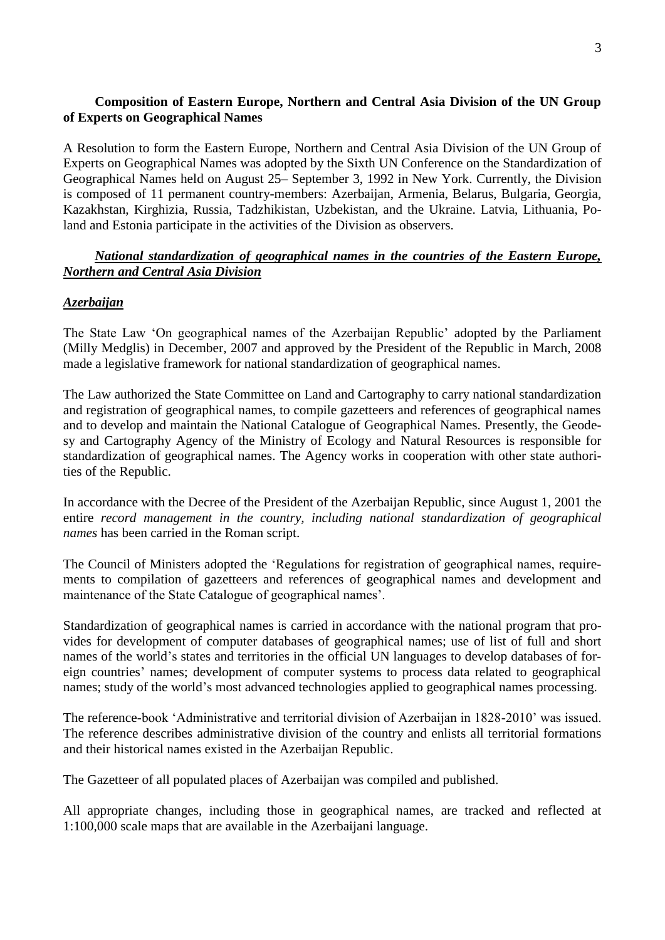# **Composition of Eastern Europe, Northern and Central Asia Division of the UN Group of Experts on Geographical Names**

A Resolution to form the Eastern Europe, Northern and Central Asia Division of the UN Group of Experts on Geographical Names was adopted by the Sixth UN Conference on the Standardization of Geographical Names held on August 25– September 3, 1992 in New York. Currently, the Division is composed of 11 permanent country-members: Azerbaijan, Armenia, Belarus, Bulgaria, Georgia, Kazakhstan, Kirghizia, Russia, Tadzhikistan, Uzbekistan, and the Ukraine. Latvia, Lithuania, Poland and Estonia participate in the activities of the Division as observers.

#### *National standardization of geographical names in the countries of the Eastern Europe, Northern and Central Asia Division*

#### *Azerbaijan*

The State Law 'On geographical names of the Azerbaijan Republic' adopted by the Parliament (Milly Medglis) in December, 2007 and approved by the President of the Republic in March, 2008 made a legislative framework for national standardization of geographical names.

The Law authorized the State Committee on Land and Cartography to carry national standardization and registration of geographical names, to compile gazetteers and references of geographical names and to develop and maintain the National Catalogue of Geographical Names. Presently, the Geodesy and Cartography Agency of the Ministry of Ecology and Natural Resources is responsible for standardization of geographical names. The Agency works in cooperation with other state authorities of the Republic.

In accordance with the Decree of the President of the Azerbaijan Republic, since August 1, 2001 the entire *record management in the country, including national standardization of geographical names* has been carried in the Roman script.

The Council of Ministers adopted the 'Regulations for registration of geographical names, requirements to compilation of gazetteers and references of geographical names and development and maintenance of the State Catalogue of geographical names'.

Standardization of geographical names is carried in accordance with the national program that provides for development of computer databases of geographical names; use of list of full and short names of the world's states and territories in the official UN languages to develop databases of foreign countries' names; development of computer systems to process data related to geographical names; study of the world's most advanced technologies applied to geographical names processing.

The reference-book 'Administrative and territorial division of Azerbaijan in 1828-2010' was issued. The reference describes administrative division of the country and enlists all territorial formations and their historical names existed in the Azerbaijan Republic.

The Gazetteer of all populated places of Azerbaijan was compiled and published.

All appropriate changes, including those in geographical names, are tracked and reflected at 1:100,000 scale maps that are available in the Azerbaijani language.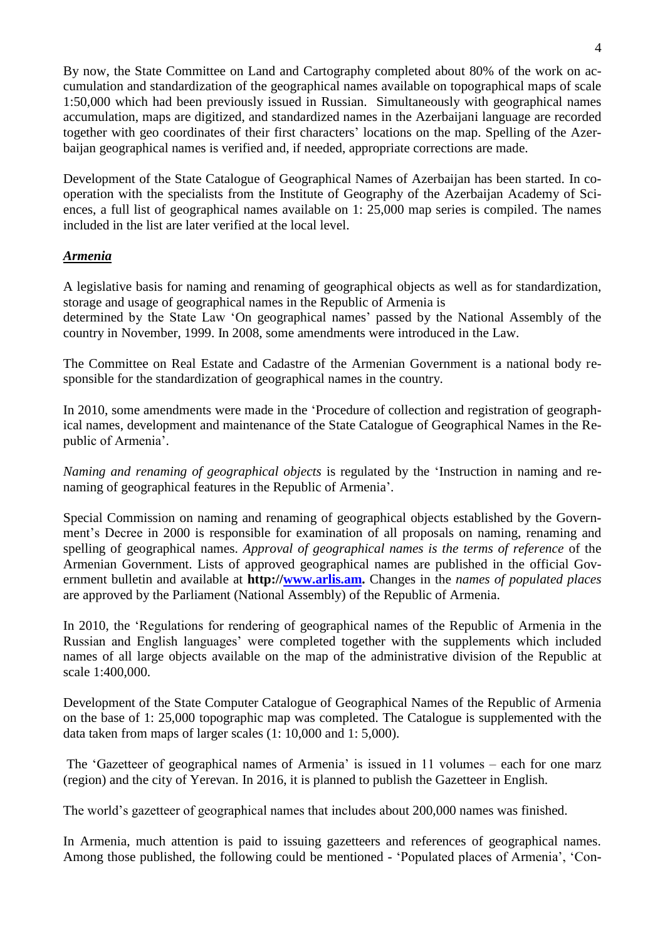By now, the State Committee on Land and Cartography completed about 80% of the work on accumulation and standardization of the geographical names available on topographical maps of scale 1:50,000 which had been previously issued in Russian. Simultaneously with geographical names accumulation, maps are digitized, and standardized names in the Azerbaijani language are recorded together with geo coordinates of their first characters' locations on the map. Spelling of the Azerbaijan geographical names is verified and, if needed, appropriate corrections are made.

Development of the State Catalogue of Geographical Names of Azerbaijan has been started. In cooperation with the specialists from the Institute of Geography of the Azerbaijan Academy of Sciences, a full list of geographical names available on 1: 25,000 map series is compiled. The names included in the list are later verified at the local level.

#### *Armenia*

A legislative basis for naming and renaming of geographical objects as well as for standardization, storage and usage of geographical names in the Republic of Armenia is determined by the State Law 'On geographical names' passed by the National Assembly of the country in November, 1999. In 2008, some amendments were introduced in the Law.

The Committee on Real Estate and Cadastre of the Armenian Government is a national body responsible for the standardization of geographical names in the country*.* 

In 2010, some amendments were made in the 'Procedure of collection and registration of geographical names, development and maintenance of the State Catalogue of Geographical Names in the Republic of Armenia'.

*Naming and renaming of geographical objects* is regulated by the 'Instruction in naming and renaming of geographical features in the Republic of Armenia'.

Special Commission on naming and renaming of geographical objects established by the Government's Decree in 2000 is responsible for examination of all proposals on naming, renaming and spelling of geographical names. *Approval of geographical names is the terms of reference* of the Armenian Government. Lists of approved geographical names are published in the official Government bulletin and available at **http:/[/www.arlis.am.](http://www.arlis.am/)** Changes in the *names of populated places*  are approved by the Parliament (National Assembly) of the Republic of Armenia.

In 2010, the 'Regulations for rendering of geographical names of the Republic of Armenia in the Russian and English languages' were completed together with the supplements which included names of all large objects available on the map of the administrative division of the Republic at scale 1:400,000.

Development of the State Computer Catalogue of Geographical Names of the Republic of Armenia on the base of 1: 25,000 topographic map was completed. The Catalogue is supplemented with the data taken from maps of larger scales (1: 10,000 and 1: 5,000).

The 'Gazetteer of geographical names of Armenia' is issued in 11 volumes – each for one marz (region) and the city of Yerevan. In 2016, it is planned to publish the Gazetteer in English.

The world's gazetteer of geographical names that includes about 200,000 names was finished.

In Armenia, much attention is paid to issuing gazetteers and references of geographical names. Among those published, the following could be mentioned - 'Populated places of Armenia', 'Con-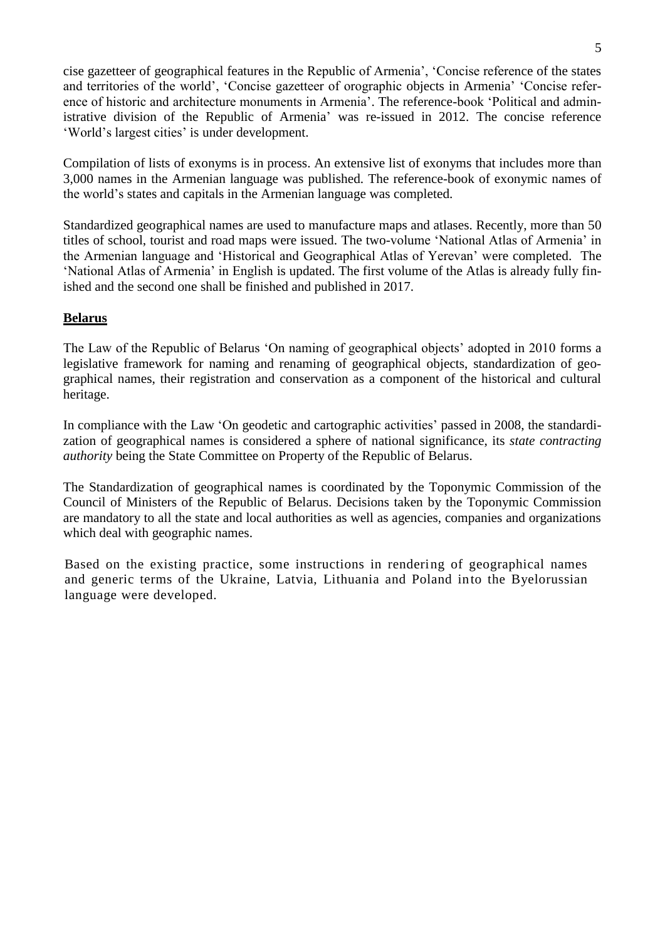cise gazetteer of geographical features in the Republic of Armenia', 'Concise reference of the states and territories of the world', 'Concise gazetteer of orographic objects in Armenia' 'Concise reference of historic and architecture monuments in Armenia'. The reference-book 'Political and administrative division of the Republic of Armenia' was re-issued in 2012. The concise reference 'World's largest cities' is under development.

Compilation of lists of exonyms is in process. An extensive list of exonyms that includes more than 3,000 names in the Armenian language was published. The reference-book of exonymic names of the world's states and capitals in the Armenian language was completed.

Standardized geographical names are used to manufacture maps and atlases. Recently, more than 50 titles of school, tourist and road maps were issued. The two-volume 'National Atlas of Armenia' in the Armenian language and 'Historical and Geographical Atlas of Yerevan' were completed. The 'National Atlas of Armenia' in English is updated. The first volume of the Atlas is already fully finished and the second one shall be finished and published in 2017.

#### **Belarus**

The Law of the Republic of Belarus 'On naming of geographical objects' adopted in 2010 forms a legislative framework for naming and renaming of geographical objects, standardization of geographical names, their registration and conservation as a component of the historical and cultural heritage.

In compliance with the Law 'On geodetic and cartographic activities' passed in 2008, the standardization of geographical names is considered a sphere of national significance, its *state contracting authority* being the State Committee on Property of the Republic of Belarus.

The Standardization of geographical names is coordinated by the Toponymic Commission of the Council of Ministers of the Republic of Belarus. Decisions taken by the Toponymic Commission are mandatory to all the state and local authorities as well as agencies, companies and organizations which deal with geographic names.

Based on the existing practice, some instructions in rendering of geographical names and generic terms of the Ukraine, Latvia, Lithuania and Poland into the Byelorussian language were developed.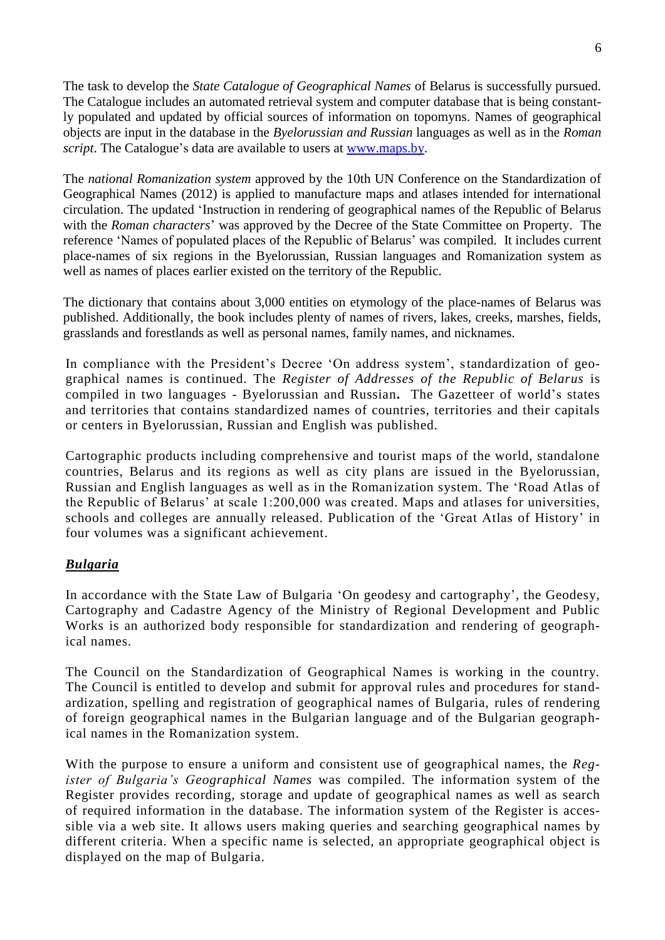The task to develop the *State Catalogue of Geographical Names* of Belarus is successfully pursued. The Catalogue includes an automated retrieval system and computer database that is being constantly populated and updated by official sources of information on topomyns. Names of geographical objects are input in the database in the *Byelorussian and Russian* languages as well as in the *Roman script*. The Catalogue's data are available to users at [www.maps.by.](http://www.maps.by/)

The *national Romanization system* approved by the 10th UN Conference on the Standardization of Geographical Names (2012) is applied to manufacture maps and atlases intended for international circulation. The updated 'Instruction in rendering of geographical names of the Republic of Belarus with the *Roman characters*' was approved by the Decree of the State Committee on Property. The reference 'Names of populated places of the Republic of Belarus' was compiled. It includes current place-names of six regions in the Byelorussian, Russian languages and Romanization system as well as names of places earlier existed on the territory of the Republic.

The dictionary that contains about 3,000 entities on etymology of the place-names of Belarus was published. Additionally, the book includes plenty of names of rivers, lakes, creeks, marshes, fields, grasslands and forestlands as well as personal names, family names, and nicknames.

In compliance with the President's Decree 'On address system', standardization of geographical names is continued. The *Register of Addresses of the Republic of Belarus* is compiled in two languages - Byelorussian and Russian**.** The Gazetteer of world's states and territories that contains standardized names of countries, territories and their capitals or centers in Byelorussian, Russian and English was published.

Cartographic products including comprehensive and tourist maps of the world, standalone countries, Belarus and its regions as well as city plans are issued in the Byelorussian, Russian and English languages as well as in the Romanization system. The 'Road Atlas of the Republic of Belarus' at scale 1:200,000 was created. Maps and atlases for universities, schools and colleges are annually released. Publication of the 'Great Atlas of History' in four volumes was a significant achievement.

# *Bulgaria*

In accordance with the State Law of Bulgaria 'On geodesy and cartography', the Geodesy, Cartography and Cadastre Agency of the Ministry of Regional Development and Public Works is an authorized body responsible for standardization and rendering of geographical names.

The Council on the Standardization of Geographical Names is working in the country. The Council is entitled to develop and submit for approval rules and procedures for standardization, spelling and registration of geographical names of Bulgaria, rules of rendering of foreign geographical names in the Bulgarian language and of the Bulgarian geographical names in the Romanization system.

With the purpose to ensure a uniform and consistent use of geographical names, the *Register of Bulgaria's Geographical Names* was compiled. The information system of the Register provides recording, storage and update of geographical names as well as search of required information in the database. The information system of the Register is accessible via a web site. It allows users making queries and searching geographical names by different criteria. When a specific name is selected, an appropriate geographical object is displayed on the map of Bulgaria.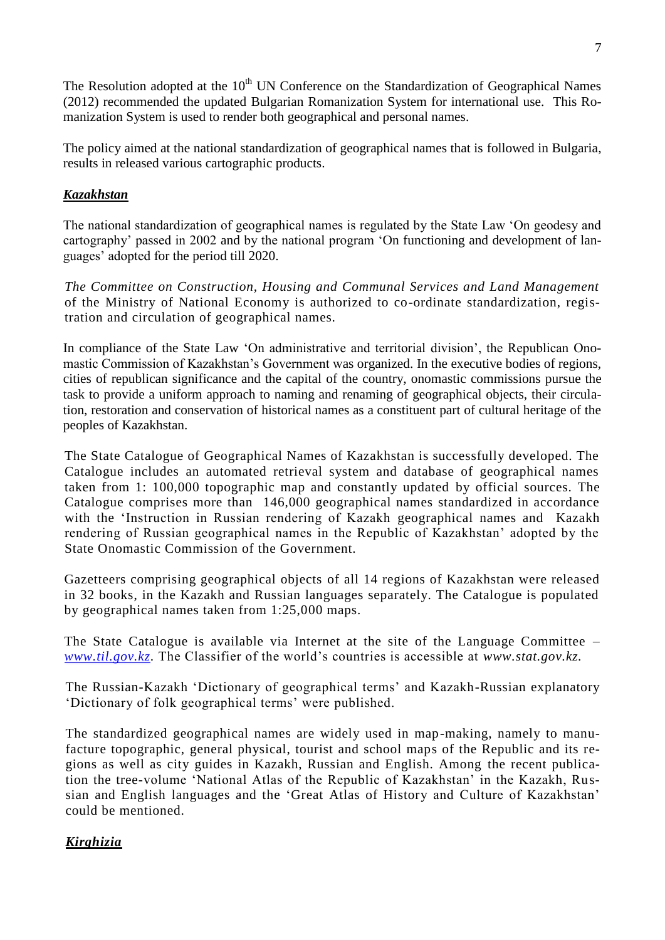The Resolution adopted at the  $10<sup>th</sup>$  UN Conference on the Standardization of Geographical Names (2012) recommended the updated Bulgarian Romanization System for international use. This Romanization System is used to render both geographical and personal names.

The policy aimed at the national standardization of geographical names that is followed in Bulgaria, results in released various cartographic products.

# *Kazakhstan*

The national standardization of geographical names is regulated by the State Law 'On geodesy and cartography' passed in 2002 and by the national program 'On functioning and development of languages' adopted for the period till 2020.

*The Committee on Construction, Housing and Communal Services and Land Management*  of the Ministry of National Economy is authorized to co-ordinate standardization, registration and circulation of geographical names.

In compliance of the State Law 'On administrative and territorial division', the Republican Onomastic Commission of Kazakhstan's Government was organized. In the executive bodies of regions, cities of republican significance and the capital of the country, onomastic commissions pursue the task to provide a uniform approach to naming and renaming of geographical objects, their circulation, restoration and conservation of historical names as a constituent part of cultural heritage of the peoples of Kazakhstan.

The State Catalogue of Geographical Names of Kazakhstan is successfully developed. The Catalogue includes an automated retrieval system and database of geographical names taken from 1: 100,000 topographic map and constantly updated by official sources. The Catalogue comprises more than 146,000 geographical names standardized in accordance with the 'Instruction in Russian rendering of Kazakh geographical names and Kazakh rendering of Russian geographical names in the Republic of Kazakhstan' adopted by the State Onomastic Commission of the Government.

Gazetteers comprising geographical objects of all 14 regions of Kazakhstan were released in 32 books, in the Kazakh and Russian languages separately. The Catalogue is populated by geographical names taken from 1:25,000 maps.

The State Catalogue is available via Internet at the site of the Language Committee – *[www.til.gov.kz.](http://www.til.gov.kz/)* The Classifier of the world's countries is accessible at *www.stat.gov.kz.*

The Russian-Kazakh 'Dictionary of geographical terms' and Kazakh-Russian explanatory 'Dictionary of folk geographical terms' were published.

The standardized geographical names are widely used in map-making, namely to manufacture topographic, general physical, tourist and school maps of the Republic and its regions as well as city guides in Kazakh, Russian and English. Among the recent publication the tree-volume 'National Atlas of the Republic of Kazakhstan' in the Kazakh, Russian and English languages and the 'Great Atlas of History and Culture of Kazakhstan' could be mentioned.

# *Kirghizia*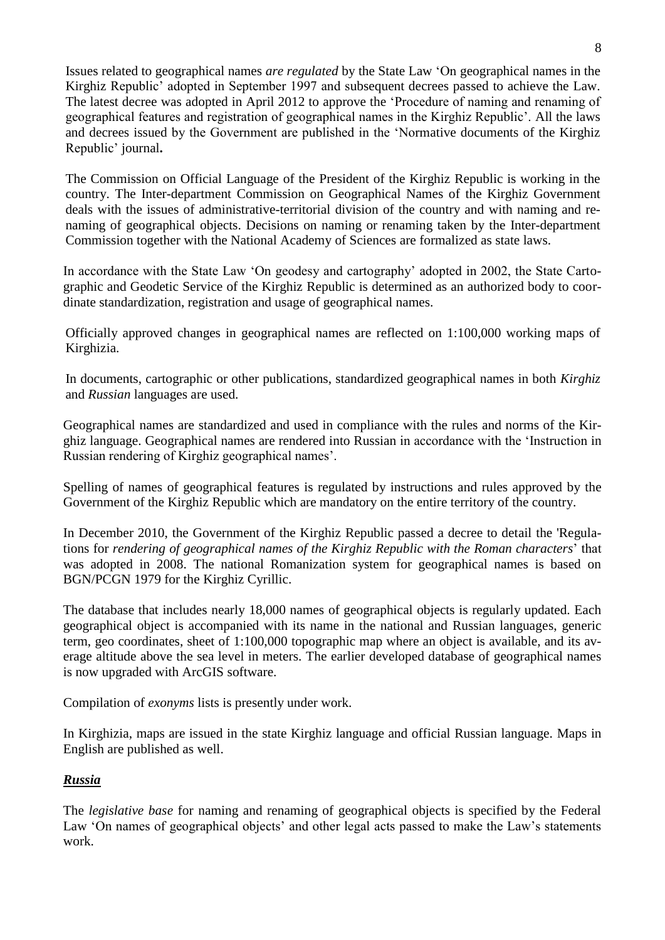Issues related to geographical names *are regulated* by the State Law 'On geographical names in the Kirghiz Republic' adopted in September 1997 and subsequent decrees passed to achieve the Law. The latest decree was adopted in April 2012 to approve the 'Procedure of naming and renaming of geographical features and registration of geographical names in the Kirghiz Republic'. All the laws and decrees issued by the Government are published in the 'Normative documents of the Kirghiz Republic' journal**.** 

The Commission on Official Language of the President of the Kirghiz Republic is working in the country. The Inter-department Commission on Geographical Names of the Kirghiz Government deals with the issues of administrative-territorial division of the country and with naming and renaming of geographical objects. Decisions on naming or renaming taken by the Inter-department Commission together with the National Academy of Sciences are formalized as state laws.

In accordance with the State Law 'On geodesy and cartography' adopted in 2002, the State Cartographic and Geodetic Service of the Kirghiz Republic is determined as an authorized body to coordinate standardization, registration and usage of geographical names.

Officially approved changes in geographical names are reflected on 1:100,000 working maps of Kirghizia.

In documents, cartographic or other publications, standardized geographical names in both *Kirghiz*  and *Russian* languages are used.

Geographical names are standardized and used in compliance with the rules and norms of the Kirghiz language. Geographical names are rendered into Russian in accordance with the 'Instruction in Russian rendering of Kirghiz geographical names'.

Spelling of names of geographical features is regulated by instructions and rules approved by the Government of the Kirghiz Republic which are mandatory on the entire territory of the country.

In December 2010, the Government of the Kirghiz Republic passed a decree to detail the 'Regulations for *rendering of geographical names of the Kirghiz Republic with the Roman characters*' that was adopted in 2008. The national Romanization system for geographical names is based on BGN/PCGN 1979 for the Kirghiz Cyrillic.

The database that includes nearly 18,000 names of geographical objects is regularly updated. Each geographical object is accompanied with its name in the national and Russian languages, generic term, geo coordinates, sheet of 1:100,000 topographic map where an object is available, and its average altitude above the sea level in meters. The earlier developed database of geographical names is now upgraded with ArcGIS software.

Compilation of *exonyms* lists is presently under work.

In Kirghizia, maps are issued in the state Kirghiz language and official Russian language. Maps in English are published as well.

# *Russia*

The *legislative base* for naming and renaming of geographical objects is specified by the Federal Law 'On names of geographical objects' and other legal acts passed to make the Law's statements work.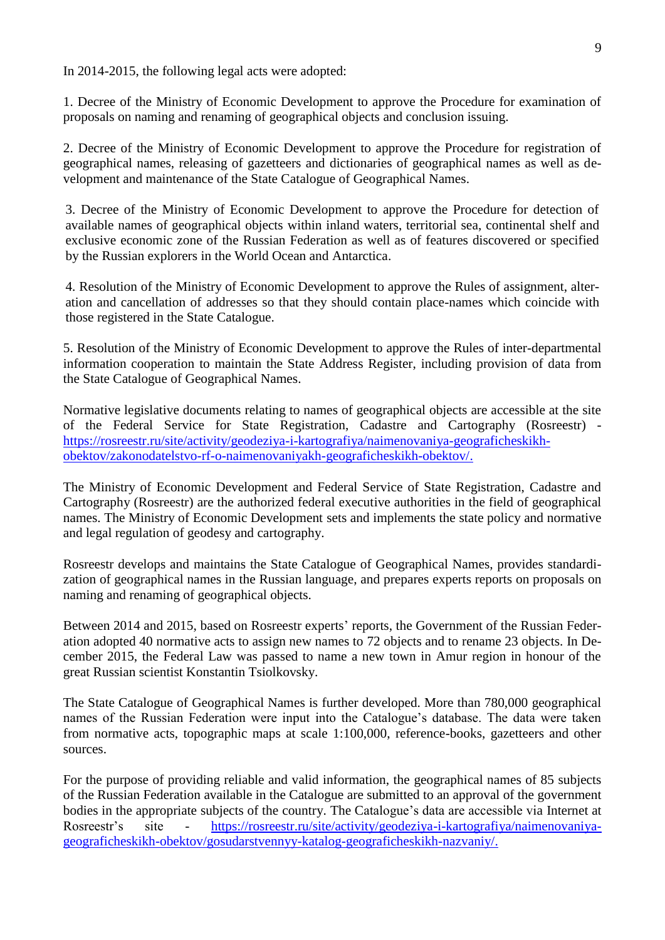In 2014-2015, the following legal acts were adopted:

1. Decree of the Ministry of Economic Development to approve the Procedure for examination of proposals on naming and renaming of geographical objects and conclusion issuing.

2. Decree of the Ministry of Economic Development to approve the Procedure for registration of geographical names, releasing of gazetteers and dictionaries of geographical names as well as development and maintenance of the State Catalogue of Geographical Names.

3. Decree of the Ministry of Economic Development to approve the Procedure for detection of available names of geographical objects within inland waters, territorial sea, continental shelf and exclusive economic zone of the Russian Federation as well as of features discovered or specified by the Russian explorers in the World Ocean and Antarctica.

4. Resolution of the Ministry of Economic Development to approve the Rules of assignment, alteration and cancellation of addresses so that they should contain place-names which coincide with those registered in the State Catalogue.

5. Resolution of the Ministry of Economic Development to approve the Rules of inter-departmental information cooperation to maintain the State Address Register, including provision of data from the State Catalogue of Geographical Names.

Normative legislative documents relating to names of geographical objects are accessible at the site of the Federal Service for State Registration, Cadastre and Cartography (Rosreestr) [https://rosreestr.ru/site/activity/geodeziya-i-kartografiya/naimenovaniya-geograficheskikh](https://rosreestr.ru/site/activity/geodeziya-i-kartografiya/naimenovaniya-geograficheskikh-obektov/zakonodatelstvo-rf-o-naimenovaniyakh-geograficheskikh-obektov/)[obektov/zakonodatelstvo-rf-o-naimenovaniyakh-geograficheskikh-obektov/.](https://rosreestr.ru/site/activity/geodeziya-i-kartografiya/naimenovaniya-geograficheskikh-obektov/zakonodatelstvo-rf-o-naimenovaniyakh-geograficheskikh-obektov/)

The Ministry of Economic Development and Federal Service of State Registration, Cadastre and Cartography (Rosreestr) are the authorized federal executive authorities in the field of geographical names. The Ministry of Economic Development sets and implements the state policy and normative and legal regulation of geodesy and cartography.

Rosreestr develops and maintains the State Catalogue of Geographical Names, provides standardization of geographical names in the Russian language, and prepares experts reports on proposals on naming and renaming of geographical objects.

Between 2014 and 2015, based on Rosreestr experts' reports, the Government of the Russian Federation adopted 40 normative acts to assign new names to 72 objects and to rename 23 objects. In December 2015, the Federal Law was passed to name a new town in Amur region in honour of the great Russian scientist Konstantin Tsiolkovsky.

The State Catalogue of Geographical Names is further developed. More than 780,000 geographical names of the Russian Federation were input into the Catalogue's database. The data were taken from normative acts, topographic maps at scale 1:100,000, reference-books, gazetteers and other sources.

For the purpose of providing reliable and valid information, the geographical names of 85 subjects of the Russian Federation available in the Catalogue are submitted to an approval of the government bodies in the appropriate subjects of the country. The Catalogue's data are accessible via Internet at Rosreestr's site - [https://rosreestr.ru/site/activity/geodeziya-i-kartografiya/naimenovaniya](https://rosreestr.ru/site/activity/geodeziya-i-kartografiya/naimenovaniya-geograficheskikh-obektov/gosudarstvennyy-katalog-geograficheskikh-nazvaniy/)[geograficheskikh-obektov/gosudarstvennyy-katalog-geograficheskikh-nazvaniy/.](https://rosreestr.ru/site/activity/geodeziya-i-kartografiya/naimenovaniya-geograficheskikh-obektov/gosudarstvennyy-katalog-geograficheskikh-nazvaniy/)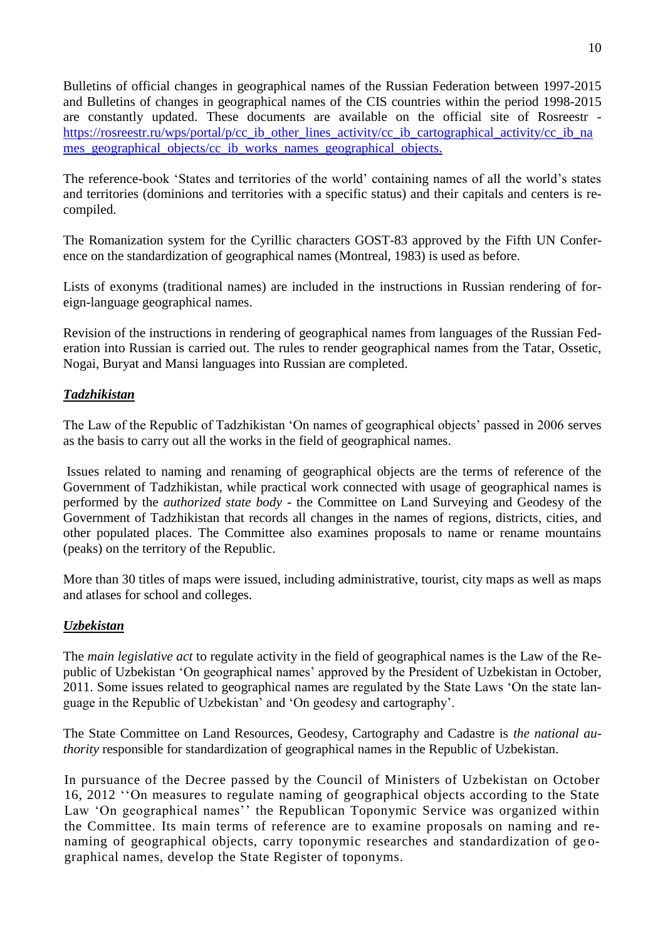Bulletins of official changes in geographical names of the Russian Federation between 1997-2015 and Bulletins of changes in geographical names of the CIS countries within the period 1998-2015 are constantly updated. These documents are available on the official site of Rosreestr [https://rosreestr.ru/wps/portal/p/cc\\_ib\\_other\\_lines\\_activity/cc\\_ib\\_cartographical\\_activity/cc\\_ib\\_na](https://rosreestr.ru/wps/portal/p/cc_ib_other_lines_activity/cc_ib_cartographical_activity/cc_ib_names_geographical_objects/cc_ib_works_names_geographical_objects) mes geographical objects/cc ib works names geographical objects.

The reference-book 'States and territories of the world' containing names of all the world's states and territories (dominions and territories with a specific status) and their capitals and centers is recompiled.

The Romanization system for the Cyrillic characters GOST-83 approved by the Fifth UN Conference on the standardization of geographical names (Montreal, 1983) is used as before.

Lists of exonyms (traditional names) are included in the instructions in Russian rendering of foreign-language geographical names.

Revision of the instructions in rendering of geographical names from languages of the Russian Federation into Russian is carried out. The rules to render geographical names from the Tatar, Ossetic, Nogai, Buryat and Mansi languages into Russian are completed.

# *Tadzhikistan*

The Law of the Republic of Tadzhikistan 'On names of geographical objects' passed in 2006 serves as the basis to carry out all the works in the field of geographical names.

Issues related to naming and renaming of geographical objects are the terms of reference of the Government of Tadzhikistan, while practical work connected with usage of geographical names is performed by the *authorized state body -* the Committee on Land Surveying and Geodesy of the Government of Tadzhikistan that records all changes in the names of regions, districts, cities, and other populated places. The Committee also examines proposals to name or rename mountains (peaks) on the territory of the Republic.

More than 30 titles of maps were issued, including administrative, tourist, city maps as well as maps and atlases for school and colleges.

# *Uzbekistan*

The *main legislative act* to regulate activity in the field of geographical names is the Law of the Republic of Uzbekistan 'On geographical names' approved by the President of Uzbekistan in October, 2011. Some issues related to geographical names are regulated by the State Laws 'On the state language in the Republic of Uzbekistan' and 'On geodesy and cartography'.

The State Committee on Land Resources, Geodesy, Cartography and Cadastre is *the national authority* responsible for standardization of geographical names in the Republic of Uzbekistan.

In pursuance of the Decree passed by the Council of Ministers of Uzbekistan on October 16, 2012 ''On measures to regulate naming of geographical objects according to the State Law 'On geographical names'' the Republican Toponymic Service was organized within the Committee. Its main terms of reference are to examine proposals on naming and renaming of geographical objects, carry toponymic researches and standardization of ge ographical names, develop the State Register of toponyms.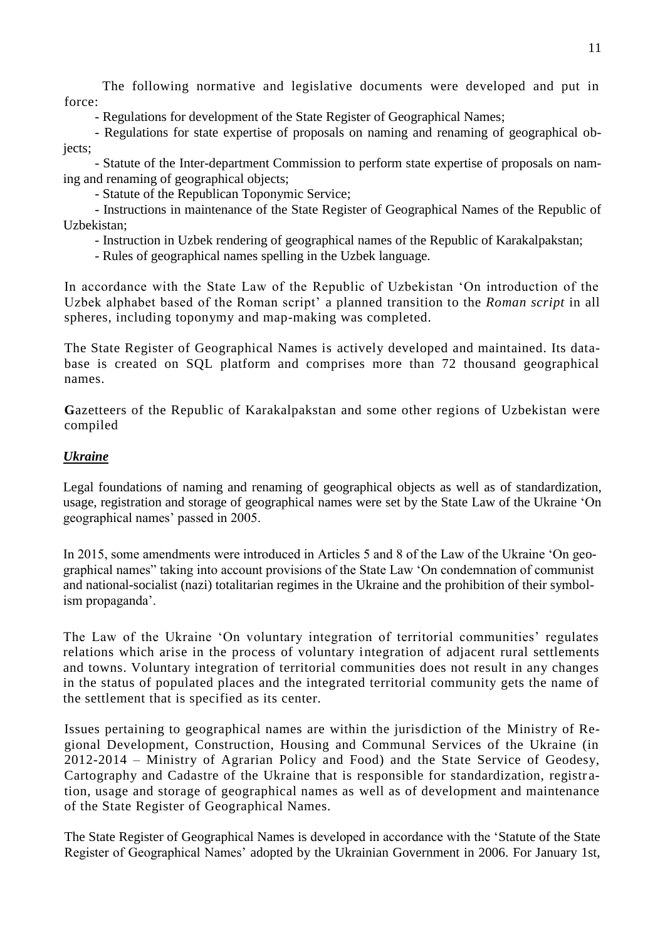The following normative and legislative documents were developed and put in force:

- Regulations for development of the State Register of Geographical Names;

- Regulations for state expertise of proposals on naming and renaming of geographical objects;

- Statute of the Inter-department Commission to perform state expertise of proposals on naming and renaming of geographical objects;

- Statute of the Republican Toponymic Service;

- Instructions in maintenance of the State Register of Geographical Names of the Republic of Uzbekistan;

- Instruction in Uzbek rendering of geographical names of the Republic of Karakalpakstan;

- Rules of geographical names spelling in the Uzbek language.

In accordance with the State Law of the Republic of Uzbekistan 'On introduction of the Uzbek alphabet based of the Roman script' a planned transition to the *Roman script* in all spheres, including toponymy and map-making was completed.

The State Register of Geographical Names is actively developed and maintained. Its database is created on SQL platform and comprises more than 72 thousand geographical names.

**G**azetteers of the Republic of Karakalpakstan and some other regions of Uzbekistan were compiled

# *Ukraine*

Legal foundations of naming and renaming of geographical objects as well as of standardization, usage, registration and storage of geographical names were set by the State Law of the Ukraine 'On geographical names' passed in 2005.

In 2015, some amendments were introduced in Articles 5 and 8 of the Law of the Ukraine 'On geographical names" taking into account provisions of the State Law 'On condemnation of communist and national-socialist (nazi) totalitarian regimes in the Ukraine and the prohibition of their symbolism propaganda'.

The Law of the Ukraine 'On voluntary integration of territorial communities' regulates relations which arise in the process of voluntary integration of adjacent rural settlements and towns. Voluntary integration of territorial communities does not result in any changes in the status of populated places and the integrated territorial community gets the name of the settlement that is specified as its center.

Issues pertaining to geographical names are within the jurisdiction of the Ministry of Regional Development, Construction, Housing and Communal Services of the Ukraine (in 2012-2014 – Ministry of Agrarian Policy and Food) and the State Service of Geodesy, Cartography and Cadastre of the Ukraine that is responsible for standardization, registr ation, usage and storage of geographical names as well as of development and maintenance of the State Register of Geographical Names.

The State Register of Geographical Names is developed in accordance with the 'Statute of the State Register of Geographical Names' adopted by the Ukrainian Government in 2006. For January 1st,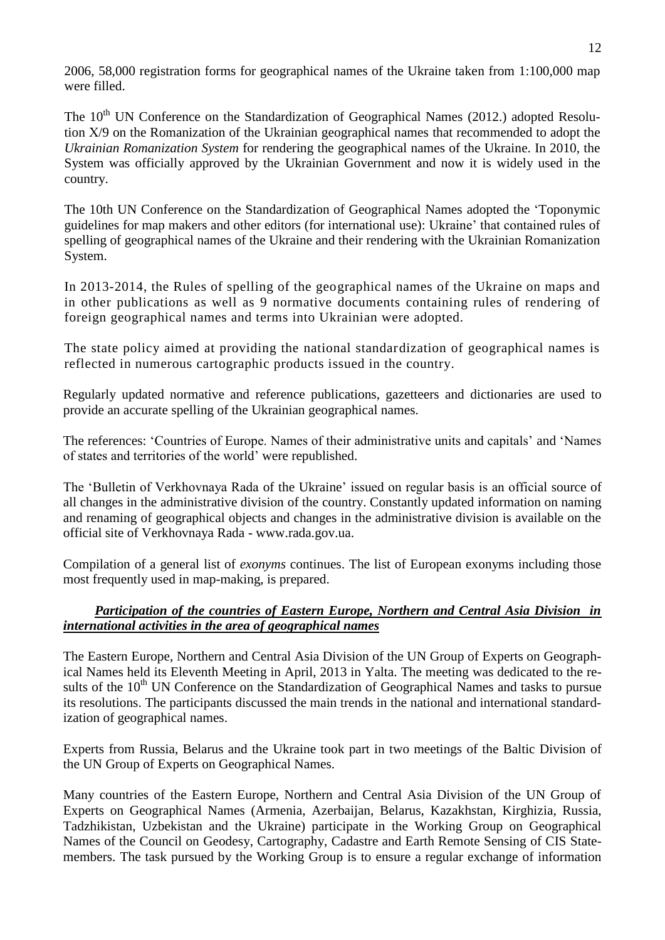2006, 58,000 registration forms for geographical names of the Ukraine taken from 1:100,000 map were filled.

The  $10<sup>th</sup>$  UN Conference on the Standardization of Geographical Names (2012.) adopted Resolution Х/9 on the Romanization of the Ukrainian geographical names that recommended to adopt the *Ukrainian Romanization System* for rendering the geographical names of the Ukraine. In 2010, the System was officially approved by the Ukrainian Government and now it is widely used in the country.

The 10th UN Conference on the Standardization of Geographical Names adopted the 'Toponymic guidelines for map makers and other editors (for international use): Ukraine' that contained rules of spelling of geographical names of the Ukraine and their rendering with the Ukrainian Romanization System.

In 2013-2014, the Rules of spelling of the geographical names of the Ukraine on maps and in other publications as well as 9 normative documents containing rules of rendering of foreign geographical names and terms into Ukrainian were adopted.

The state policy aimed at providing the national standardization of geographical names is reflected in numerous cartographic products issued in the country.

Regularly updated normative and reference publications, gazetteers and dictionaries are used to provide an accurate spelling of the Ukrainian geographical names.

The references: 'Countries of Europe. Names of their administrative units and capitals' and 'Names of states and territories of the world' were republished.

The 'Bulletin of Verkhovnaya Rada of the Ukraine' issued on regular basis is an official source of all changes in the administrative division of the country. Constantly updated information on naming and renaming of geographical objects and changes in the administrative division is available on the official site of Verkhovnaya Rada - www.rada.gov.ua.

Compilation of a general list of *exonyms* continues. The list of European exonyms including those most frequently used in map-making, is prepared.

#### *Participation of the countries of Eastern Europe, Northern and Central Asia Division in international activities in the area of geographical names*

The Eastern Europe, Northern and Central Asia Division of the UN Group of Experts on Geographical Names held its Eleventh Meeting in April, 2013 in Yalta. The meeting was dedicated to the results of the  $10<sup>th</sup>$  UN Conference on the Standardization of Geographical Names and tasks to pursue its resolutions. The participants discussed the main trends in the national and international standardization of geographical names.

Experts from Russia, Belarus and the Ukraine took part in two meetings of the Baltic Division of the UN Group of Experts on Geographical Names.

Many countries of the Eastern Europe, Northern and Central Asia Division of the UN Group of Experts on Geographical Names (Armenia, Azerbaijan, Belarus, Kazakhstan, Kirghizia, Russia, Tadzhikistan, Uzbekistan and the Ukraine) participate in the Working Group on Geographical Names of the Council on Geodesy, Cartography, Cadastre and Earth Remote Sensing of CIS Statemembers. The task pursued by the Working Group is to ensure a regular exchange of information